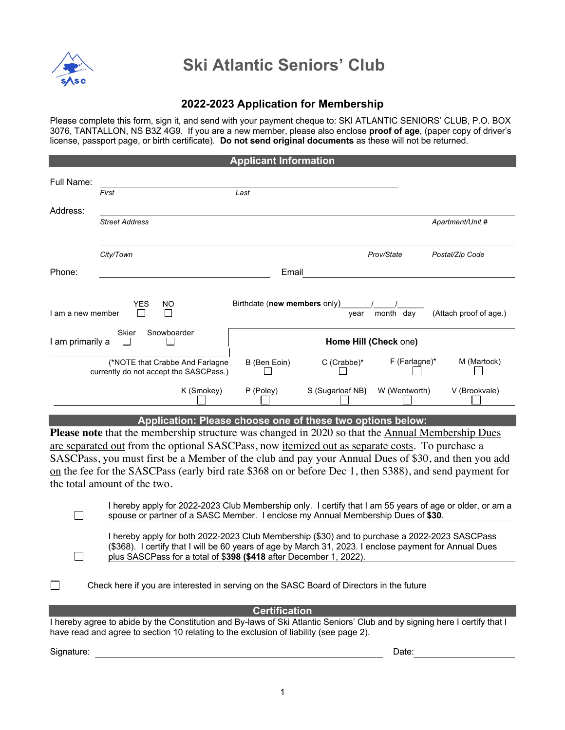

## **Ski Atlantic Seniors' Club**

## **2022-2023 Application for Membership**

Please complete this form, sign it, and send with your payment cheque to: SKI ATLANTIC SENIORS' CLUB, P.O. BOX 3076, TANTALLON, NS B3Z 4G9. If you are a new member, please also enclose **proof of age**, (paper copy of driver's license, passport page, or birth certificate). **Do not send original documents** as these will not be returned.

|                                                                 |                                                                                                                |                       | <b>Applicant Information</b> |                                                            |                 |                        |
|-----------------------------------------------------------------|----------------------------------------------------------------------------------------------------------------|-----------------------|------------------------------|------------------------------------------------------------|-----------------|------------------------|
| Full Name:                                                      |                                                                                                                |                       |                              |                                                            |                 |                        |
|                                                                 | First                                                                                                          |                       | Last                         |                                                            |                 |                        |
| Address:                                                        |                                                                                                                |                       |                              |                                                            |                 |                        |
|                                                                 | <b>Street Address</b>                                                                                          |                       |                              |                                                            |                 | Apartment/Unit #       |
|                                                                 | City/Town                                                                                                      |                       |                              |                                                            | Prov/State      | Postal/Zip Code        |
| Phone:                                                          |                                                                                                                |                       | Email                        |                                                            |                 |                        |
|                                                                 |                                                                                                                |                       |                              |                                                            |                 |                        |
| I am a new member                                               | <b>YES</b><br>NO.                                                                                              |                       | Birthdate (new members only) | year                                                       | month day       | (Attach proof of age.) |
| Snowboarder<br><b>Skier</b><br>I am primarily a<br>$\mathbf{I}$ |                                                                                                                | Home Hill (Check one) |                              |                                                            |                 |                        |
|                                                                 | (*NOTE that Crabbe And Farlagne<br>currently do not accept the SASCPass.)                                      |                       | B (Ben Eoin)                 | C (Crabbe)*                                                | $F$ (Farlagne)* | M (Martock)            |
|                                                                 |                                                                                                                | K (Smokey)            | P (Poley)                    | S (Sugarloaf NB)                                           | W (Wentworth)   | V (Brookvale)          |
|                                                                 |                                                                                                                |                       |                              | Application: Please choose one of these two options below: |                 |                        |
|                                                                 | <b>Please note</b> that the membership structure was changed in 2020 so that the <b>Annual Membership Dues</b> |                       |                              |                                                            |                 |                        |
|                                                                 | are separated out from the optional SASCPass, now <i>itemized</i> out as separate costs. To purchase a         |                       |                              |                                                            |                 |                        |
|                                                                 | SASCPass, you must first be a Member of the club and pay your Annual Dues of \$30, and then you add            |                       |                              |                                                            |                 |                        |
|                                                                 | on the fee for the SASCPass (early bird rate \$368 on or before Dec 1, then \$388), and send payment for       |                       |                              |                                                            |                 |                        |
|                                                                 | the total amount of the two.                                                                                   |                       |                              |                                                            |                 |                        |

|                                                                                  | I hereby apply for 2022-2023 Club Membership only. I certify that I am 55 years of age or older, or am a |
|----------------------------------------------------------------------------------|----------------------------------------------------------------------------------------------------------|
| spouse or partner of a SASC Member. I enclose my Annual Membership Dues of \$30. |                                                                                                          |

| I hereby apply for both 2022-2023 Club Membership (\$30) and to purchase a 2022-2023 SASCPass          |
|--------------------------------------------------------------------------------------------------------|
| (\$368). I certify that I will be 60 years of age by March 31, 2023. I enclose payment for Annual Dues |
| plus SASCPass for a total of \$398 (\$418 after December 1, 2022).                                     |

| Check here if you are interested in serving on the SASC Board of Directors in the future |
|------------------------------------------------------------------------------------------|
|------------------------------------------------------------------------------------------|

**Certification**

I hereby agree to abide by the Constitution and By-laws of Ski Atlantic Seniors' Club and by signing here I certify that I have read and agree to section 10 relating to the exclusion of liability (see page 2).

Signature: <u>Date:</u> Date: Date: Date: Date: Date: Date: Date: Date: Date: Date: Date: Date: Date: Date: Date: Date: Date: Date: Date: Date: Date: Date: Date: Date: Date: Date: Date: Date: Date: Date: Date: Date: Date: Date:

 $\Box$ 

 $\Box$ 

 $\Box$